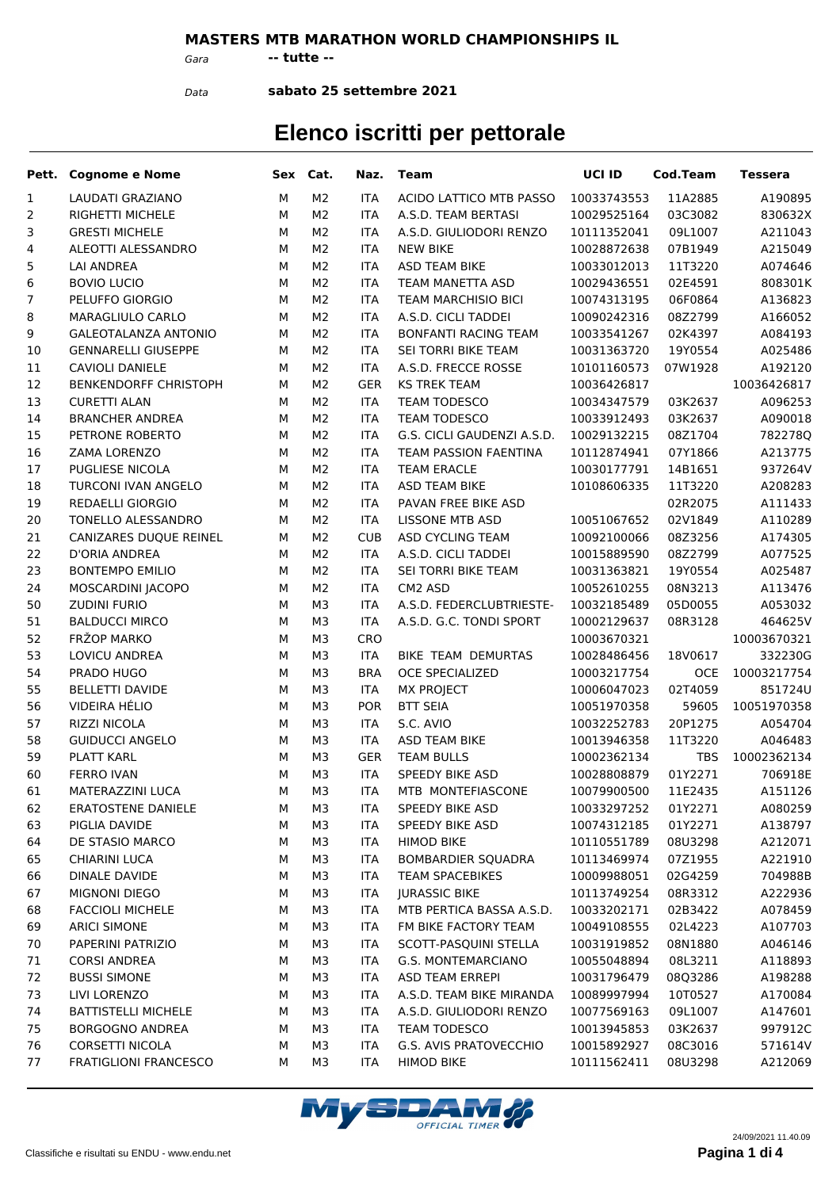### **MASTERS MTB MARATHON WORLD CHAMPIONSHIPS IL**

*Gara* **-- tutte --**

*Data*

**sabato 25 settembre 2021**

|    | Pett. Cognome e Nome         |   | Sex Cat.       | Naz.       | Team                        | UCI ID      | Cod.Team           | Tessera     |
|----|------------------------------|---|----------------|------------|-----------------------------|-------------|--------------------|-------------|
| 1  | LAUDATI GRAZIANO             | м | M <sub>2</sub> | <b>ITA</b> | ACIDO LATTICO MTB PASSO     | 10033743553 | 11A2885            | A190895     |
| 2  | <b>RIGHETTI MICHELE</b>      | M | M <sub>2</sub> | <b>ITA</b> | A.S.D. TEAM BERTASI         | 10029525164 | 03C3082            | 830632X     |
| 3  | <b>GRESTI MICHELE</b>        | м | M <sub>2</sub> | <b>ITA</b> | A.S.D. GIULIODORI RENZO     | 10111352041 | 09L1007            | A211043     |
| 4  | ALEOTTI ALESSANDRO           | M | M <sub>2</sub> | <b>ITA</b> | <b>NEW BIKE</b>             | 10028872638 | 07B1949            | A215049     |
| 5  | <b>LAI ANDREA</b>            | M | M <sub>2</sub> | <b>ITA</b> | <b>ASD TEAM BIKE</b>        | 10033012013 | 11T3220            | A074646     |
| 6  | <b>BOVIO LUCIO</b>           | M | M <sub>2</sub> | <b>ITA</b> | TEAM MANETTA ASD            | 10029436551 | 02E4591            | 808301K     |
| 7  | PELUFFO GIORGIO              | M | M <sub>2</sub> | <b>ITA</b> | <b>TEAM MARCHISIO BICI</b>  | 10074313195 | 06F0864            | A136823     |
| 8  | MARAGLIULO CARLO             | M | M <sub>2</sub> | <b>ITA</b> | A.S.D. CICLI TADDEI         | 10090242316 | 08Z2799            | A166052     |
| 9  | <b>GALEOTALANZA ANTONIO</b>  | M | M <sub>2</sub> | <b>ITA</b> | <b>BONFANTI RACING TEAM</b> | 10033541267 | 02K4397            | A084193     |
| 10 | <b>GENNARELLI GIUSEPPE</b>   | M | M <sub>2</sub> | <b>ITA</b> | SEI TORRI BIKE TEAM         | 10031363720 | 19Y0554            | A025486     |
| 11 | <b>CAVIOLI DANIELE</b>       | M | M <sub>2</sub> | <b>ITA</b> | A.S.D. FRECCE ROSSE         | 10101160573 | 07W1928            | A192120     |
| 12 | <b>BENKENDORFF CHRISTOPH</b> | M | M <sub>2</sub> | <b>GER</b> | <b>KS TREK TEAM</b>         | 10036426817 |                    | 10036426817 |
| 13 | <b>CURETTI ALAN</b>          | M | M <sub>2</sub> | <b>ITA</b> | TEAM TODESCO                | 10034347579 | 03K2637            | A096253     |
| 14 | <b>BRANCHER ANDREA</b>       | M | M <sub>2</sub> | <b>ITA</b> | <b>TEAM TODESCO</b>         | 10033912493 | 03K2637            | A090018     |
| 15 | PETRONE ROBERTO              | M | M <sub>2</sub> | <b>ITA</b> | G.S. CICLI GAUDENZI A.S.D.  | 10029132215 | 08Z1704            | 782278Q     |
| 16 | <b>ZAMA LORENZO</b>          | M | M <sub>2</sub> | <b>ITA</b> | TEAM PASSION FAENTINA       | 10112874941 | 07Y1866            | A213775     |
| 17 | <b>PUGLIESE NICOLA</b>       | M | M <sub>2</sub> | <b>ITA</b> | <b>TEAM ERACLE</b>          | 10030177791 | 14B1651            | 937264V     |
| 18 | TURCONI IVAN ANGELO          | M | M <sub>2</sub> | <b>ITA</b> | <b>ASD TEAM BIKE</b>        | 10108606335 | 11T3220            | A208283     |
| 19 | <b>REDAELLI GIORGIO</b>      | M | M <sub>2</sub> | <b>ITA</b> | PAVAN FREE BIKE ASD         |             | 02R2075            | A111433     |
| 20 | TONELLO ALESSANDRO           | M | M <sub>2</sub> | <b>ITA</b> | <b>LISSONE MTB ASD</b>      | 10051067652 | 02V1849            | A110289     |
| 21 | CANIZARES DUQUE REINEL       | M | M <sub>2</sub> | <b>CUB</b> | ASD CYCLING TEAM            | 10092100066 | 08Z3256            | A174305     |
| 22 | D'ORIA ANDREA                | M | M <sub>2</sub> | <b>ITA</b> | A.S.D. CICLI TADDEI         | 10015889590 | 08Z2799            | A077525     |
| 23 | <b>BONTEMPO EMILIO</b>       | M | M <sub>2</sub> | <b>ITA</b> | SEI TORRI BIKE TEAM         | 10031363821 | 19Y0554            | A025487     |
| 24 | MOSCARDINI JACOPO            | M | M <sub>2</sub> | <b>ITA</b> | CM <sub>2</sub> ASD         | 10052610255 | 08N3213            | A113476     |
| 50 | <b>ZUDINI FURIO</b>          | M | M3             | <b>ITA</b> | A.S.D. FEDERCLUBTRIESTE-    | 10032185489 | 05D0055            | A053032     |
| 51 | <b>BALDUCCI MIRCO</b>        | M | M3             | <b>ITA</b> | A.S.D. G.C. TONDI SPORT     | 10002129637 | 08R3128            | 464625V     |
| 52 | FRŽOP MARKO                  | M | M3             | <b>CRO</b> |                             | 10003670321 |                    | 10003670321 |
| 53 | LOVICU ANDREA                | M | M3             | <b>ITA</b> | BIKE TEAM DEMURTAS          | 10028486456 | 18V0617            | 332230G     |
| 54 | PRADO HUGO                   | M | M3             | <b>BRA</b> | <b>OCE SPECIALIZED</b>      | 10003217754 | <b>OCE</b>         | 10003217754 |
| 55 | <b>BELLETTI DAVIDE</b>       | M | M3             | <b>ITA</b> | <b>MX PROJECT</b>           | 10006047023 | 02T4059            | 851724U     |
|    | <b>VIDEIRA HÉLIO</b>         | M |                | <b>POR</b> | <b>BTT SEIA</b>             |             |                    | 10051970358 |
| 56 |                              |   | M3             |            |                             | 10051970358 | 59605              |             |
| 57 | <b>RIZZI NICOLA</b>          | M | M3             | <b>ITA</b> | S.C. AVIO                   | 10032252783 | 20P1275<br>11T3220 | A054704     |
| 58 | <b>GUIDUCCI ANGELO</b>       | M | M3             | <b>ITA</b> | ASD TEAM BIKE               | 10013946358 |                    | A046483     |
| 59 | PLATT KARL                   | м | M3             | <b>GER</b> | <b>TEAM BULLS</b>           | 10002362134 | <b>TBS</b>         | 10002362134 |
| 60 | <b>FERRO IVAN</b>            | M | M3             | <b>ITA</b> | SPEEDY BIKE ASD             | 10028808879 | 01Y2271            | 706918E     |
| 61 | MATERAZZINI LUCA             | М | MЗ             | ITA        | MTB MONTEFIASCONE           | 10079900500 | 11E2435            | A151126     |
| 62 | <b>ERATOSTENE DANIELE</b>    | м | M3             | ITA.       | SPEEDY BIKE ASD             | 10033297252 | 01Y2271            | A080259     |
| 63 | PIGLIA DAVIDE                | М | MЗ             | ITA.       | SPEEDY BIKE ASD             | 10074312185 | 01Y2271            | A138797     |
| 64 | DE STASIO MARCO              | М | M3             | ITA        | <b>HIMOD BIKE</b>           | 10110551789 | 08U3298            | A212071     |
| 65 | <b>CHIARINI LUCA</b>         | м | M3             | ITA        | <b>BOMBARDIER SQUADRA</b>   | 10113469974 | 07Z1955            | A221910     |
| 66 | DINALE DAVIDE                | м | M3             | <b>ITA</b> | <b>TEAM SPACEBIKES</b>      | 10009988051 | 02G4259            | 704988B     |
| 67 | <b>MIGNONI DIEGO</b>         | м | M3             | ITA        | <b>JURASSIC BIKE</b>        | 10113749254 | 08R3312            | A222936     |
| 68 | <b>FACCIOLI MICHELE</b>      | М | M3             | ITA        | MTB PERTICA BASSA A.S.D.    | 10033202171 | 02B3422            | A078459     |
| 69 | <b>ARICI SIMONE</b>          | м | M3             | ITA        | FM BIKE FACTORY TEAM        | 10049108555 | 02L4223            | A107703     |
| 70 | PAPERINI PATRIZIO            | м | M3             | ITA        | SCOTT-PASQUINI STELLA       | 10031919852 | 08N1880            | A046146     |
| 71 | <b>CORSI ANDREA</b>          | м | M3             | ITA        | G.S. MONTEMARCIANO          | 10055048894 | 08L3211            | A118893     |
| 72 | <b>BUSSI SIMONE</b>          | м | M3             | <b>ITA</b> | <b>ASD TEAM ERREPI</b>      | 10031796479 | 08Q3286            | A198288     |
| 73 | LIVI LORENZO                 | м | M3             | ITA        | A.S.D. TEAM BIKE MIRANDA    | 10089997994 | 10T0527            | A170084     |
| 74 | <b>BATTISTELLI MICHELE</b>   | м | M3             | ITA        | A.S.D. GIULIODORI RENZO     | 10077569163 | 09L1007            | A147601     |
| 75 | BORGOGNO ANDREA              | м | M3             | <b>ITA</b> | <b>TEAM TODESCO</b>         | 10013945853 | 03K2637            | 997912C     |
| 76 | CORSETTI NICOLA              | м | M3             | <b>ITA</b> | G.S. AVIS PRATOVECCHIO      | 10015892927 | 08C3016            | 571614V     |
| 77 | <b>FRATIGLIONI FRANCESCO</b> | М | M3             | <b>ITA</b> | <b>HIMOD BIKE</b>           | 10111562411 | 08U3298            | A212069     |

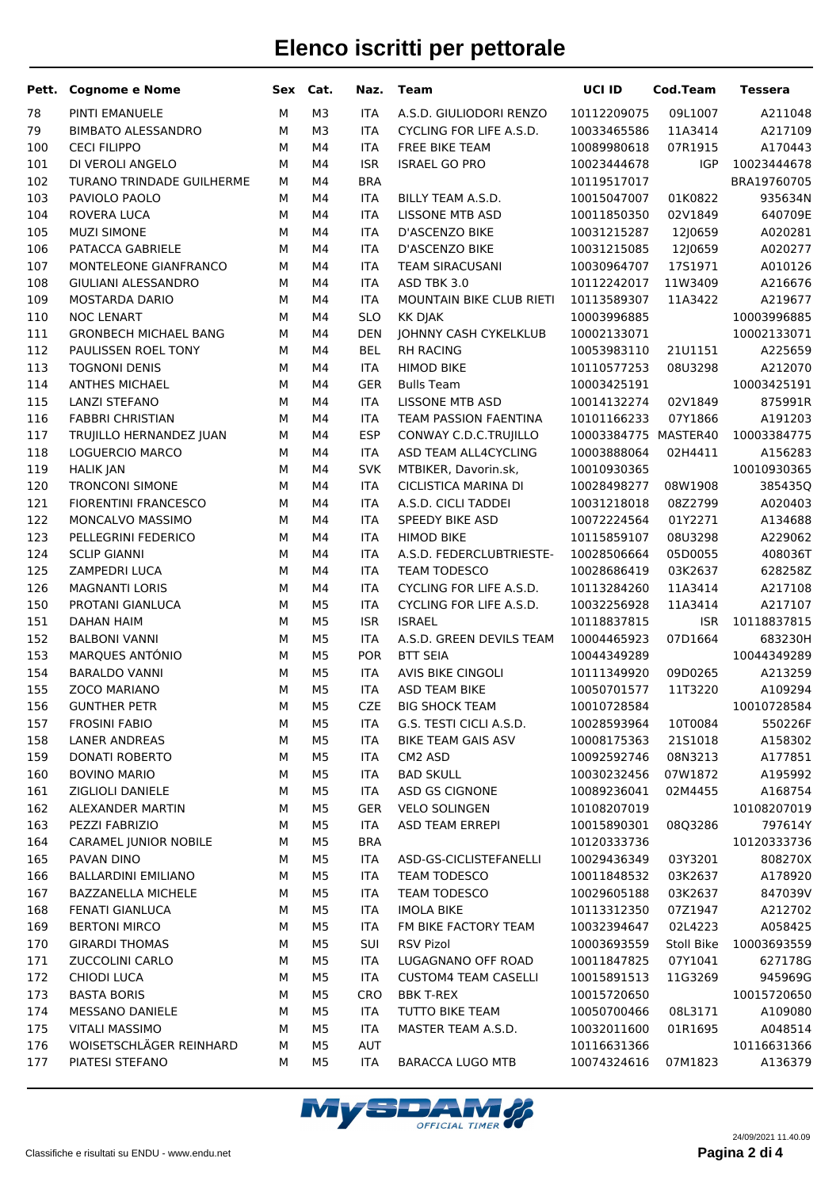| Pett.      | <b>Cognome e Nome</b>                        | Sex    | Cat.                             | Naz.                     | <b>Team</b>                                          | UCI ID                     | <b>Cod.Team</b>    | <b>Tessera</b>         |
|------------|----------------------------------------------|--------|----------------------------------|--------------------------|------------------------------------------------------|----------------------------|--------------------|------------------------|
| 78         | PINTI EMANUELE                               | M      | M <sub>3</sub>                   | <b>ITA</b>               | A.S.D. GIULIODORI RENZO                              | 10112209075                | 09L1007            | A211048                |
| 79         | <b>BIMBATO ALESSANDRO</b>                    | М      | M <sub>3</sub>                   | <b>ITA</b>               | CYCLING FOR LIFE A.S.D.                              | 10033465586                | 11A3414            | A217109                |
| 100        | <b>CECI FILIPPO</b>                          | М      | M4                               | <b>ITA</b>               | <b>FREE BIKE TEAM</b>                                | 10089980618                | 07R1915            | A170443                |
| 101        | DI VEROLI ANGELO                             | М      | M4                               | <b>ISR</b>               | <b>ISRAEL GO PRO</b>                                 | 10023444678                | <b>IGP</b>         | 10023444678            |
| 102        | <b>TURANO TRINDADE GUILHERME</b>             | М      | M4                               | <b>BRA</b>               |                                                      | 10119517017                |                    | BRA19760705            |
| 103        | PAVIOLO PAOLO                                | M      | M4                               | <b>ITA</b>               | BILLY TEAM A.S.D.                                    | 10015047007                | 01K0822            | 935634N                |
| 104        | ROVERA LUCA                                  | М      | M4                               | <b>ITA</b>               | <b>LISSONE MTB ASD</b>                               | 10011850350                | 02V1849            | 640709E                |
| 105        | <b>MUZI SIMONE</b>                           | M      | M4                               | <b>ITA</b>               | D'ASCENZO BIKE                                       | 10031215287                | 12J0659            | A020281                |
| 106        | PATACCA GABRIELE                             | M      | M4                               | <b>ITA</b>               | D'ASCENZO BIKE                                       | 10031215085                | 12J0659            | A020277                |
| 107        | MONTELEONE GIANFRANCO                        | M      | M4                               | <b>ITA</b>               | <b>TEAM SIRACUSANI</b>                               | 10030964707                | 1751971            | A010126                |
| 108        | GIULIANI ALESSANDRO                          | М      | M4                               | <b>ITA</b>               | ASD TBK 3.0                                          | 10112242017                | 11W3409            | A216676                |
| 109        | <b>MOSTARDA DARIO</b>                        | М      | M4                               | <b>ITA</b>               | MOUNTAIN BIKE CLUB RIETI                             | 10113589307                | 11A3422            | A219677                |
| 110        | <b>NOC LENART</b>                            | М      | M4                               | <b>SLO</b>               | KK DJAK                                              | 10003996885                |                    | 10003996885            |
| 111        | <b>GRONBECH MICHAEL BANG</b>                 | М      | M4                               | <b>DEN</b>               | JOHNNY CASH CYKELKLUB                                | 10002133071                |                    | 10002133071            |
| 112        | PAULISSEN ROEL TONY                          | М      | M4                               | <b>BEL</b>               | <b>RH RACING</b>                                     | 10053983110                | 2101151            | A225659                |
| 113        | <b>TOGNONI DENIS</b>                         | M      | M4                               | <b>ITA</b>               | <b>HIMOD BIKE</b>                                    | 10110577253                | 08U3298            | A212070                |
| 114        | <b>ANTHES MICHAEL</b>                        | M      | M4                               | <b>GER</b>               | <b>Bulls Team</b>                                    | 10003425191                |                    | 10003425191            |
| 115        | LANZI STEFANO                                | M      | M4                               | <b>ITA</b>               | <b>LISSONE MTB ASD</b>                               | 10014132274                | 02V1849            | 875991R                |
| 116        | <b>FABBRI CHRISTIAN</b>                      | M      | M4                               | <b>ITA</b>               | <b>TEAM PASSION FAENTINA</b>                         | 10101166233                | 07Y1866            | A191203                |
| 117        | TRUJILLO HERNANDEZ JUAN                      | M      | M4                               | <b>ESP</b>               | CONWAY C.D.C.TRUJILLO                                | 10003384775 MASTER40       |                    | 10003384775            |
| 118        | LOGUERCIO MARCO                              | М      | M4                               | <b>ITA</b>               | ASD TEAM ALL4CYCLING                                 | 10003888064                | 02H4411            | A156283                |
| 119        | <b>HALIK JAN</b>                             | M      | M4                               | <b>SVK</b>               | MTBIKER, Davorin.sk,                                 | 10010930365                |                    | 10010930365            |
| 120        | <b>TRONCONI SIMONE</b>                       | M      | M4                               | <b>ITA</b>               | <b>CICLISTICA MARINA DI</b>                          | 10028498277                | 08W1908            | 385435Q                |
| 121        | <b>FIORENTINI FRANCESCO</b>                  | M      | M4                               | <b>ITA</b>               | A.S.D. CICLI TADDEI                                  | 10031218018                | 08Z2799            | A020403                |
| 122        | MONCALVO MASSIMO                             | М      | M4                               | <b>ITA</b>               | <b>SPEEDY BIKE ASD</b>                               | 10072224564                | 01Y2271            | A134688                |
| 123        | PELLEGRINI FEDERICO                          | M      | M4                               | <b>ITA</b>               | <b>HIMOD BIKE</b>                                    | 10115859107                | 08U3298            | A229062                |
| 124        | <b>SCLIP GIANNI</b>                          | М      | M4                               | <b>ITA</b>               | A.S.D. FEDERCLUBTRIESTE-                             | 10028506664                | 05D0055            | 408036T                |
| 125        | ZAMPEDRI LUCA                                | M      | M4                               | <b>ITA</b>               | TEAM TODESCO                                         | 10028686419                | 03K2637            | 628258Z                |
| 126        | <b>MAGNANTI LORIS</b>                        | M      | M4                               | <b>ITA</b>               | CYCLING FOR LIFE A.S.D.                              | 10113284260                | 11A3414            | A217108                |
| 150        | PROTANI GIANLUCA                             | M      | M <sub>5</sub>                   | <b>ITA</b>               | CYCLING FOR LIFE A.S.D.                              | 10032256928                | 11A3414            | A217107                |
| 151        | <b>DAHAN HAIM</b>                            | М      | M <sub>5</sub>                   | <b>ISR</b>               | <b>ISRAEL</b>                                        | 10118837815                | <b>ISR</b>         | 10118837815            |
| 152        | <b>BALBONI VANNI</b>                         | M      | M <sub>5</sub>                   | <b>ITA</b>               | A.S.D. GREEN DEVILS TEAM                             | 10004465923                | 07D1664            | 683230H                |
| 153        | MARQUES ANTÓNIO                              | M      | M <sub>5</sub>                   | <b>POR</b>               | <b>BTT SEIA</b>                                      | 10044349289                |                    | 10044349289            |
| 154        | <b>BARALDO VANNI</b>                         | М      | M <sub>5</sub>                   | <b>ITA</b>               | <b>AVIS BIKE CINGOLI</b>                             | 10111349920                | 09D0265            | A213259                |
| 155        | ZOCO MARIANO                                 | M<br>M | M <sub>5</sub><br>M <sub>5</sub> | <b>ITA</b><br><b>CZE</b> | ASD TEAM BIKE                                        | 10050701577<br>10010728584 | 11T3220            | A109294<br>10010728584 |
| 156        | <b>GUNTHER PETR</b>                          |        |                                  |                          | <b>BIG SHOCK TEAM</b>                                | 10028593964                |                    |                        |
| 157        | <b>FROSINI FABIO</b><br><b>LANER ANDREAS</b> | М      | M <sub>5</sub>                   | <b>ITA</b><br><b>ITA</b> | G.S. TESTI CICLI A.S.D.<br><b>BIKE TEAM GAIS ASV</b> |                            | 10T0084            | 550226F                |
| 158<br>159 | DONATI ROBERTO                               | М<br>M | M <sub>5</sub><br>M <sub>5</sub> | <b>ITA</b>               | CM2 ASD                                              | 10008175363<br>10092592746 | 2151018<br>08N3213 | A158302<br>A177851     |
| 160        | <b>BOVINO MARIO</b>                          | М      | M <sub>5</sub>                   | <b>ITA</b>               | <b>BAD SKULL</b>                                     | 10030232456                | 07W1872            | A195992                |
| 161        | ZIGLIOLI DANIELE                             | М      | M <sub>5</sub>                   | <b>ITA</b>               | ASD GS CIGNONE                                       | 10089236041                | 02M4455            | A168754                |
| 162        | ALEXANDER MARTIN                             | М      | M <sub>5</sub>                   | <b>GER</b>               | <b>VELO SOLINGEN</b>                                 | 10108207019                |                    | 10108207019            |
| 163        | PEZZI FABRIZIO                               | М      | M <sub>5</sub>                   | <b>ITA</b>               | ASD TEAM ERREPI                                      | 10015890301                | 08Q3286            | 797614Y                |
| 164        | CARAMEL JUNIOR NOBILE                        | М      | M <sub>5</sub>                   | <b>BRA</b>               |                                                      | 10120333736                |                    | 10120333736            |
| 165        | PAVAN DINO                                   | М      | M <sub>5</sub>                   | <b>ITA</b>               | ASD-GS-CICLISTEFANELLI                               | 10029436349                | 03Y3201            | 808270X                |
| 166        | <b>BALLARDINI EMILIANO</b>                   | М      | M <sub>5</sub>                   | <b>ITA</b>               | TEAM TODESCO                                         | 10011848532                | 03K2637            | A178920                |
| 167        | BAZZANELLA MICHELE                           | М      | M <sub>5</sub>                   | <b>ITA</b>               | TEAM TODESCO                                         | 10029605188                | 03K2637            | 847039V                |
| 168        | <b>FENATI GIANLUCA</b>                       | М      | M <sub>5</sub>                   | <b>ITA</b>               | <b>IMOLA BIKE</b>                                    | 10113312350                | 07Z1947            | A212702                |
| 169        | <b>BERTONI MIRCO</b>                         | М      | M <sub>5</sub>                   | <b>ITA</b>               | FM BIKE FACTORY TEAM                                 | 10032394647                | 02L4223            | A058425                |
| 170        | <b>GIRARDI THOMAS</b>                        | М      | M <sub>5</sub>                   | SUI                      | <b>RSV Pizol</b>                                     | 10003693559                | Stoll Bike         | 10003693559            |
| 171        | ZUCCOLINI CARLO                              | М      | M <sub>5</sub>                   | <b>ITA</b>               | LUGAGNANO OFF ROAD                                   | 10011847825                | 07Y1041            | 627178G                |
| 172        | <b>CHIODI LUCA</b>                           | М      | M <sub>5</sub>                   | <b>ITA</b>               | <b>CUSTOM4 TEAM CASELLI</b>                          | 10015891513                | 11G3269            | 945969G                |
| 173        | <b>BASTA BORIS</b>                           | М      | M <sub>5</sub>                   | <b>CRO</b>               | <b>BBK T-REX</b>                                     | 10015720650                |                    | 10015720650            |
| 174        | MESSANO DANIELE                              | М      | M <sub>5</sub>                   | <b>ITA</b>               | TUTTO BIKE TEAM                                      | 10050700466                | 08L3171            | A109080                |
| 175        | <b>VITALI MASSIMO</b>                        | М      | M <sub>5</sub>                   | <b>ITA</b>               | MASTER TEAM A.S.D.                                   | 10032011600                | 01R1695            | A048514                |
| 176        | WOISETSCHLÄGER REINHARD                      | М      | M <sub>5</sub>                   | AUT                      |                                                      | 10116631366                |                    | 10116631366            |
| 177        | PIATESI STEFANO                              | М      | M5                               | <b>ITA</b>               | <b>BARACCA LUGO MTB</b>                              | 10074324616                | 07M1823            | A136379                |
|            |                                              |        |                                  |                          |                                                      |                            |                    |                        |

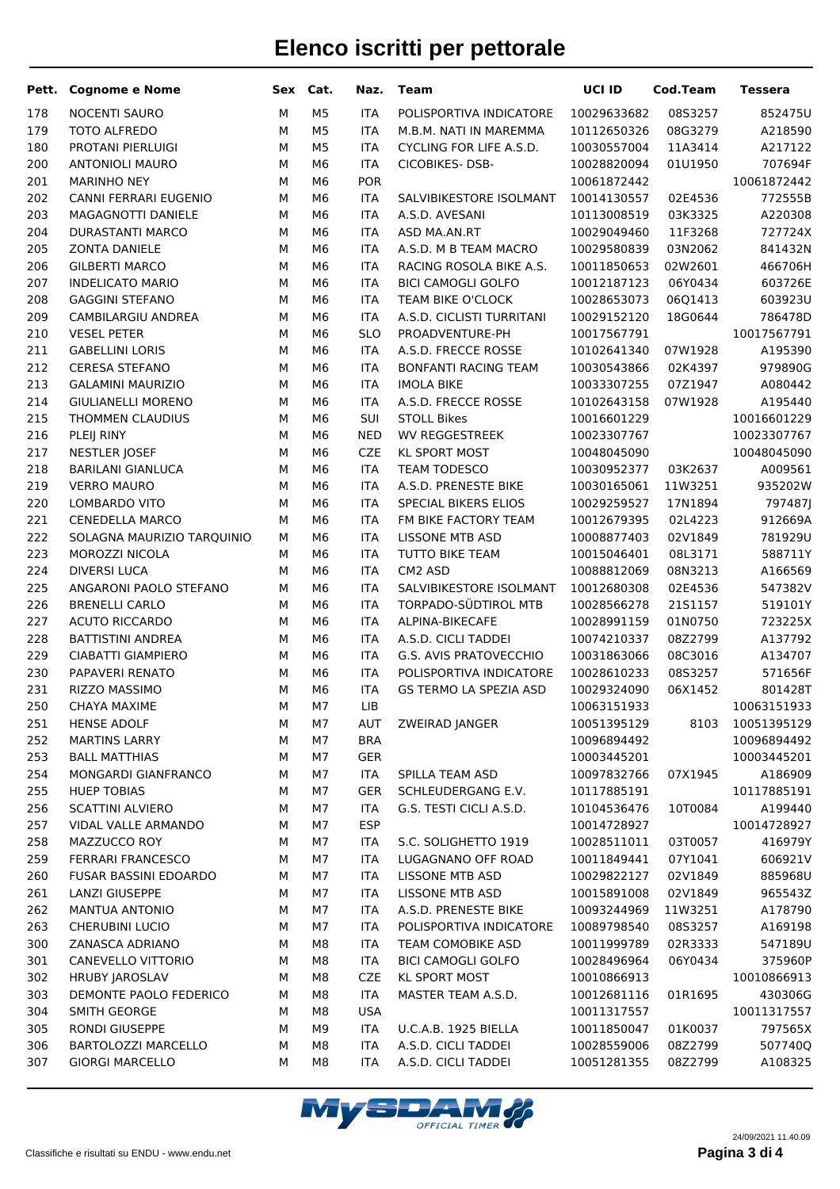| Pett.      | <b>Cognome e Nome</b>                   | Sex    | Cat.                 | Naz.                     | <b>Team</b>                                       | UCI ID                     | <b>Cod.Team</b> | <b>Tessera</b>         |
|------------|-----------------------------------------|--------|----------------------|--------------------------|---------------------------------------------------|----------------------------|-----------------|------------------------|
| 178        | <b>NOCENTI SAURO</b>                    | М      | M <sub>5</sub>       | <b>ITA</b>               | POLISPORTIVA INDICATORE                           | 10029633682                | 08S3257         | 852475U                |
| 179        | TOTO ALFREDO                            | М      | M <sub>5</sub>       | <b>ITA</b>               | M.B.M. NATI IN MAREMMA                            | 10112650326                | 08G3279         | A218590                |
| 180        | PROTANI PIERLUIGI                       | М      | M <sub>5</sub>       | <b>ITA</b>               | CYCLING FOR LIFE A.S.D.                           | 10030557004                | 11A3414         | A217122                |
| 200        | <b>ANTONIOLI MAURO</b>                  | М      | M <sub>6</sub>       | <b>ITA</b>               | CICOBIKES-DSB-                                    | 10028820094                | 01U1950         | 707694F                |
| 201        | <b>MARINHO NEY</b>                      | М      | M <sub>6</sub>       | POR                      |                                                   | 10061872442                |                 | 10061872442            |
| 202        | CANNI FERRARI EUGENIO                   | М      | M <sub>6</sub>       | <b>ITA</b>               | SALVIBIKESTORE ISOLMANT                           | 10014130557                | 02E4536         | 772555B                |
| 203        | MAGAGNOTTI DANIELE                      | М      | M <sub>6</sub>       | <b>ITA</b>               | A.S.D. AVESANI                                    | 10113008519                | 03K3325         | A220308                |
| 204        | <b>DURASTANTI MARCO</b>                 | М      | M <sub>6</sub>       | <b>ITA</b>               | ASD MA.AN.RT                                      | 10029049460                | 11F3268         | 727724X                |
| 205        | <b>ZONTA DANIELE</b>                    | М      | M <sub>6</sub>       | <b>ITA</b>               | A.S.D. M B TEAM MACRO                             | 10029580839                | 03N2062         | 841432N                |
| 206        | <b>GILBERTI MARCO</b>                   | М      | M <sub>6</sub>       | <b>ITA</b>               | RACING ROSOLA BIKE A.S.                           | 10011850653                | 02W2601         | 466706H                |
| 207        | <b>INDELICATO MARIO</b>                 | М      | M <sub>6</sub>       | <b>ITA</b>               | <b>BICI CAMOGLI GOLFO</b>                         | 10012187123                | 06Y0434         | 603726E                |
| 208        | <b>GAGGINI STEFANO</b>                  | М      | M <sub>6</sub>       | <b>ITA</b>               | TEAM BIKE O'CLOCK                                 | 10028653073                | 06Q1413         | 603923U                |
| 209        | CAMBILARGIU ANDREA                      | М      | M <sub>6</sub>       | <b>ITA</b>               | A.S.D. CICLISTI TURRITANI                         | 10029152120                | 18G0644         | 786478D                |
| 210        | <b>VESEL PETER</b>                      | М      | M <sub>6</sub>       | <b>SLO</b>               | PROADVENTURE-PH                                   | 10017567791                |                 | 10017567791            |
| 211        | <b>GABELLINI LORIS</b>                  | М      | M <sub>6</sub>       | <b>ITA</b>               | A.S.D. FRECCE ROSSE                               | 10102641340                | 07W1928         | A195390                |
| 212        | <b>CERESA STEFANO</b>                   | М      | M <sub>6</sub>       | <b>ITA</b>               | <b>BONFANTI RACING TEAM</b>                       | 10030543866                | 02K4397         | 979890G                |
| 213        | <b>GALAMINI MAURIZIO</b>                | М      | M <sub>6</sub>       | <b>ITA</b>               | <b>IMOLA BIKE</b>                                 | 10033307255                | 07Z1947         | A080442                |
| 214        | <b>GIULIANELLI MORENO</b>               | М      | M <sub>6</sub>       | <b>ITA</b>               | A.S.D. FRECCE ROSSE                               | 10102643158                | 07W1928         | A195440                |
| 215        | THOMMEN CLAUDIUS                        | М      | M <sub>6</sub>       | SUI                      | <b>STOLL Bikes</b>                                | 10016601229                |                 | 10016601229            |
| 216        | PLEIJ RINY                              | М      | M <sub>6</sub>       | <b>NED</b>               | <b>WV REGGESTREEK</b>                             | 10023307767                |                 | 10023307767            |
| 217        | <b>NESTLER JOSEF</b>                    | М      | M <sub>6</sub>       | <b>CZE</b>               | <b>KL SPORT MOST</b>                              | 10048045090                |                 | 10048045090            |
| 218        | <b>BARILANI GIANLUCA</b>                | М      | M <sub>6</sub>       | <b>ITA</b>               | TEAM TODESCO                                      | 10030952377                | 03K2637         | A009561                |
| 219        | <b>VERRO MAURO</b>                      | М      | M <sub>6</sub>       | <b>ITA</b>               | A.S.D. PRENESTE BIKE                              | 10030165061                | 11W3251         | 935202W                |
| 220        | LOMBARDO VITO                           | М      | M <sub>6</sub>       | <b>ITA</b>               | SPECIAL BIKERS ELIOS                              | 10029259527                | 17N1894         | 797487J                |
| 221        | CENEDELLA MARCO                         | М      | M <sub>6</sub>       | <b>ITA</b>               | FM BIKE FACTORY TEAM                              | 10012679395                | 02L4223         | 912669A                |
| 222        | SOLAGNA MAURIZIO TARQUINIO              | М      | M <sub>6</sub>       | <b>ITA</b>               | <b>LISSONE MTB ASD</b>                            | 10008877403                | 02V1849         | 781929U                |
| 223        | MOROZZI NICOLA                          | М      | M <sub>6</sub>       | <b>ITA</b>               | TUTTO BIKE TEAM                                   | 10015046401                | 08L3171         | 588711Y                |
| 224        | <b>DIVERSI LUCA</b>                     | М      | M <sub>6</sub>       | <b>ITA</b>               | CM2 ASD                                           | 10088812069                | 08N3213         | A166569                |
| 225        | ANGARONI PAOLO STEFANO                  | М      | M <sub>6</sub>       | <b>ITA</b>               | SALVIBIKESTORE ISOLMANT                           | 10012680308                | 02E4536         | 547382V                |
| 226        | <b>BRENELLI CARLO</b>                   | М      | M <sub>6</sub>       | <b>ITA</b>               | TORPADO-SÜDTIROL MTB                              | 10028566278                | 2151157         | 519101Y                |
| 227        | <b>ACUTO RICCARDO</b>                   | М      | M <sub>6</sub>       | <b>ITA</b>               | ALPINA-BIKECAFE                                   | 10028991159                | 01N0750         | 723225X                |
| 228        | <b>BATTISTINI ANDREA</b>                | М      | M <sub>6</sub>       | <b>ITA</b>               | A.S.D. CICLI TADDEI                               | 10074210337                | 08Z2799         | A137792                |
| 229        | CIABATTI GIAMPIERO                      | М      | M <sub>6</sub>       | <b>ITA</b>               | G.S. AVIS PRATOVECCHIO<br>POLISPORTIVA INDICATORE | 10031863066                | 08C3016         | A134707                |
| 230        | PAPAVERI RENATO<br><b>RIZZO MASSIMO</b> | М<br>M | M6<br>M <sub>6</sub> | <b>ITA</b>               | <b>GS TERMO LA SPEZIA ASD</b>                     | 10028610233<br>10029324090 | 08S3257         | 571656F                |
| 231<br>250 | <b>CHAYA MAXIME</b>                     | M      | M7                   | <b>ITA</b><br><b>LIB</b> |                                                   | 10063151933                | 06X1452         | 801428T<br>10063151933 |
| 251        | <b>HENSE ADOLF</b>                      | М      | M7                   | <b>AUT</b>               | ZWEIRAD JANGER                                    | 10051395129                | 8103            | 10051395129            |
| 252        | <b>MARTINS LARRY</b>                    | М      | M7                   | <b>BRA</b>               |                                                   | 10096894492                |                 | 10096894492            |
| 253        | <b>BALL MATTHIAS</b>                    | М      | M7                   | <b>GER</b>               |                                                   | 10003445201                |                 | 10003445201            |
| 254        | MONGARDI GIANFRANCO                     | М      | M7                   | <b>ITA</b>               | SPILLA TEAM ASD                                   | 10097832766                | 07X1945         | A186909                |
| 255        | <b>HUEP TOBIAS</b>                      | М      | M7                   | <b>GER</b>               | SCHLEUDERGANG E.V.                                | 10117885191                |                 | 10117885191            |
| 256        | <b>SCATTINI ALVIERO</b>                 | М      | M7                   | <b>ITA</b>               | G.S. TESTI CICLI A.S.D.                           | 10104536476                | 10T0084         | A199440                |
| 257        | VIDAL VALLE ARMANDO                     | М      | M7                   | ESP                      |                                                   | 10014728927                |                 | 10014728927            |
| 258        | MAZZUCCO ROY                            | М      | M7                   | <b>ITA</b>               | S.C. SOLIGHETTO 1919                              | 10028511011                | 03T0057         | 416979Y                |
| 259        | <b>FERRARI FRANCESCO</b>                | М      | M7                   | <b>ITA</b>               | LUGAGNANO OFF ROAD                                | 10011849441                | 07Y1041         | 606921V                |
| 260        | FUSAR BASSINI EDOARDO                   | М      | M7                   | <b>ITA</b>               | LISSONE MTB ASD                                   | 10029822127                | 02V1849         | 885968U                |
| 261        | <b>LANZI GIUSEPPE</b>                   | М      | M7                   | <b>ITA</b>               | LISSONE MTB ASD                                   | 10015891008                | 02V1849         | 965543Z                |
| 262        | MANTUA ANTONIO                          | М      | M7                   | <b>ITA</b>               | A.S.D. PRENESTE BIKE                              | 10093244969                | 11W3251         | A178790                |
| 263        | <b>CHERUBINI LUCIO</b>                  | М      | M7                   | <b>ITA</b>               | POLISPORTIVA INDICATORE                           | 10089798540                | 08S3257         | A169198                |
| 300        | ZANASCA ADRIANO                         | М      | M8                   | <b>ITA</b>               | TEAM COMOBIKE ASD                                 | 10011999789                | 02R3333         | 547189U                |
| 301        | CANEVELLO VITTORIO                      | М      | M8                   | <b>ITA</b>               | <b>BICI CAMOGLI GOLFO</b>                         | 10028496964                | 06Y0434         | 375960P                |
| 302        | <b>HRUBY JAROSLAV</b>                   | М      | M8                   | <b>CZE</b>               | <b>KL SPORT MOST</b>                              | 10010866913                |                 | 10010866913            |
| 303        | DEMONTE PAOLO FEDERICO                  | М      | M8                   | <b>ITA</b>               | MASTER TEAM A.S.D.                                | 10012681116                | 01R1695         | 430306G                |
| 304        | SMITH GEORGE                            | М      | M8                   | <b>USA</b>               |                                                   | 10011317557                |                 | 10011317557            |
| 305        | RONDI GIUSEPPE                          | М      | M9                   | ITA                      | U.C.A.B. 1925 BIELLA                              | 10011850047                | 01K0037         | 797565X                |
| 306        | BARTOLOZZI MARCELLO                     | М      | M8                   | <b>ITA</b>               | A.S.D. CICLI TADDEI                               | 10028559006                | 08Z2799         | 507740Q                |
| 307        | <b>GIORGI MARCELLO</b>                  | М      | M8                   | <b>ITA</b>               | A.S.D. CICLI TADDEI                               | 10051281355                | 08Z2799         | A108325                |
|            |                                         |        |                      |                          |                                                   |                            |                 |                        |